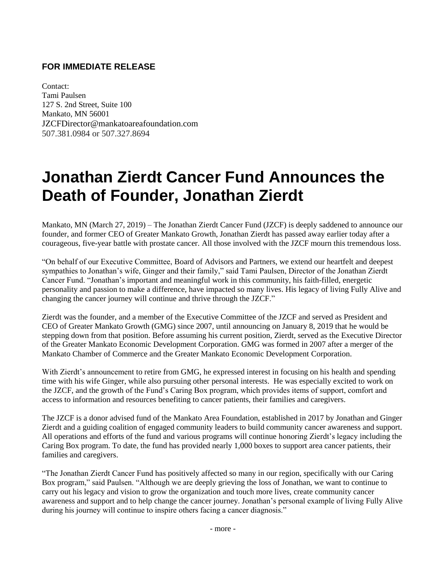## **FOR IMMEDIATE RELEASE**

Contact: Tami Paulsen 127 S. 2nd Street, Suite 100 Mankato, MN 56001 JZCFDirector@mankatoareafoundation.com 507.381.0984 or 507.327.8694

## **Jonathan Zierdt Cancer Fund Announces the Death of Founder, Jonathan Zierdt**

Mankato, MN (March 27, 2019) – The Jonathan Zierdt Cancer Fund (JZCF) is deeply saddened to announce our founder, and former CEO of Greater Mankato Growth, Jonathan Zierdt has passed away earlier today after a courageous, five-year battle with prostate cancer. All those involved with the JZCF mourn this tremendous loss.

"On behalf of our Executive Committee, Board of Advisors and Partners, we extend our heartfelt and deepest sympathies to Jonathan's wife, Ginger and their family," said Tami Paulsen, Director of the Jonathan Zierdt Cancer Fund. "Jonathan's important and meaningful work in this community, his faith-filled, energetic personality and passion to make a difference, have impacted so many lives. His legacy of living Fully Alive and changing the cancer journey will continue and thrive through the JZCF."

Zierdt was the founder, and a member of the Executive Committee of the JZCF and served as President and CEO of Greater Mankato Growth (GMG) since 2007, until announcing on January 8, 2019 that he would be stepping down from that position. Before assuming his current position, Zierdt, served as the Executive Director of the Greater Mankato Economic Development Corporation. GMG was formed in 2007 after a merger of the Mankato Chamber of Commerce and the Greater Mankato Economic Development Corporation.

With Zierdt's announcement to retire from GMG, he expressed interest in focusing on his health and spending time with his wife Ginger, while also pursuing other personal interests. He was especially excited to work on the JZCF, and the growth of the Fund's Caring Box program, which provides items of support, comfort and access to information and resources benefiting to cancer patients, their families and caregivers.

The JZCF is a donor advised fund of the Mankato Area Foundation, established in 2017 by Jonathan and Ginger Zierdt and a guiding coalition of engaged community leaders to build community cancer awareness and support. All operations and efforts of the fund and various programs will continue honoring Zierdt's legacy including the Caring Box program. To date, the fund has provided nearly 1,000 boxes to support area cancer patients, their families and caregivers.

"The Jonathan Zierdt Cancer Fund has positively affected so many in our region, specifically with our Caring Box program," said Paulsen. "Although we are deeply grieving the loss of Jonathan, we want to continue to carry out his legacy and vision to grow the organization and touch more lives, create community cancer awareness and support and to help change the cancer journey. Jonathan's personal example of living Fully Alive during his journey will continue to inspire others facing a cancer diagnosis."